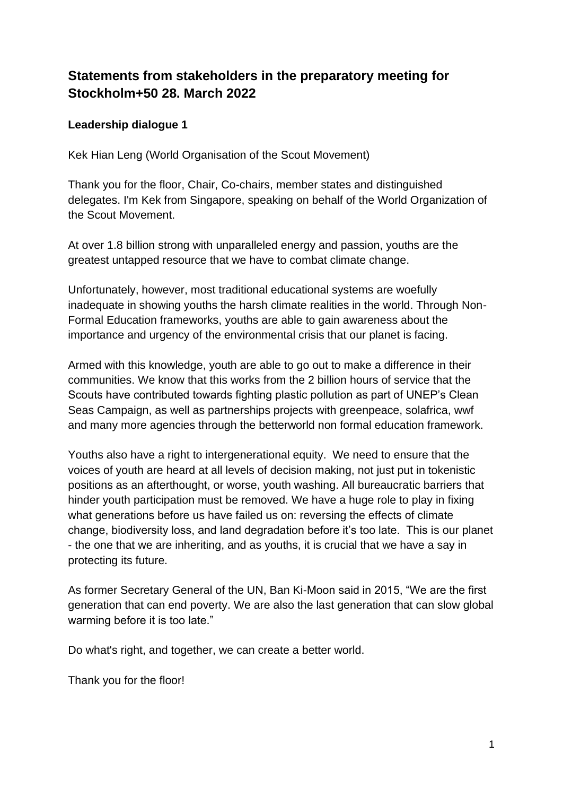# **Statements from stakeholders in the preparatory meeting for Stockholm+50 28. March 2022**

## **Leadership dialogue 1**

Kek Hian Leng (World Organisation of the Scout Movement)

Thank you for the floor, Chair, Co-chairs, member states and distinguished delegates. I'm Kek from Singapore, speaking on behalf of the World Organization of the Scout Movement.

At over 1.8 billion strong with unparalleled energy and passion, youths are the greatest untapped resource that we have to combat climate change.

Unfortunately, however, most traditional educational systems are woefully inadequate in showing youths the harsh climate realities in the world. Through Non-Formal Education frameworks, youths are able to gain awareness about the importance and urgency of the environmental crisis that our planet is facing.

Armed with this knowledge, youth are able to go out to make a difference in their communities. We know that this works from the 2 billion hours of service that the Scouts have contributed towards fighting plastic pollution as part of UNEP's Clean Seas Campaign, as well as partnerships projects with greenpeace, solafrica, wwf and many more agencies through the betterworld non formal education framework.

Youths also have a right to intergenerational equity. We need to ensure that the voices of youth are heard at all levels of decision making, not just put in tokenistic positions as an afterthought, or worse, youth washing. All bureaucratic barriers that hinder youth participation must be removed. We have a huge role to play in fixing what generations before us have failed us on: reversing the effects of climate change, biodiversity loss, and land degradation before it's too late. This is our planet - the one that we are inheriting, and as youths, it is crucial that we have a say in protecting its future.

As former Secretary General of the UN, Ban Ki-Moon said in 2015, "We are the first generation that can end poverty. We are also the last generation that can slow global warming before it is too late."

Do what's right, and together, we can create a better world.

Thank you for the floor!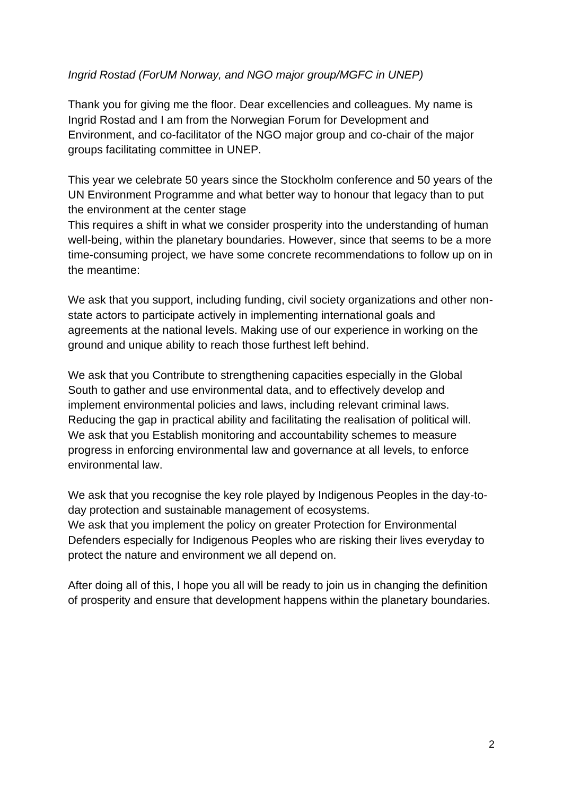## *Ingrid Rostad (ForUM Norway, and NGO major group/MGFC in UNEP)*

Thank you for giving me the floor. Dear excellencies and colleagues. My name is Ingrid Rostad and I am from the Norwegian Forum for Development and Environment, and co-facilitator of the NGO major group and co-chair of the major groups facilitating committee in UNEP.

This year we celebrate 50 years since the Stockholm conference and 50 years of the UN Environment Programme and what better way to honour that legacy than to put the environment at the center stage

This requires a shift in what we consider prosperity into the understanding of human well-being, within the planetary boundaries. However, since that seems to be a more time-consuming project, we have some concrete recommendations to follow up on in the meantime:

We ask that you support, including funding, civil society organizations and other nonstate actors to participate actively in implementing international goals and agreements at the national levels. Making use of our experience in working on the ground and unique ability to reach those furthest left behind.

We ask that you Contribute to strengthening capacities especially in the Global South to gather and use environmental data, and to effectively develop and implement environmental policies and laws, including relevant criminal laws. Reducing the gap in practical ability and facilitating the realisation of political will. We ask that you Establish monitoring and accountability schemes to measure progress in enforcing environmental law and governance at all levels, to enforce environmental law.

We ask that you recognise the key role played by Indigenous Peoples in the day-today protection and sustainable management of ecosystems. We ask that you implement the policy on greater Protection for Environmental Defenders especially for Indigenous Peoples who are risking their lives everyday to protect the nature and environment we all depend on.

After doing all of this, I hope you all will be ready to join us in changing the definition of prosperity and ensure that development happens within the planetary boundaries.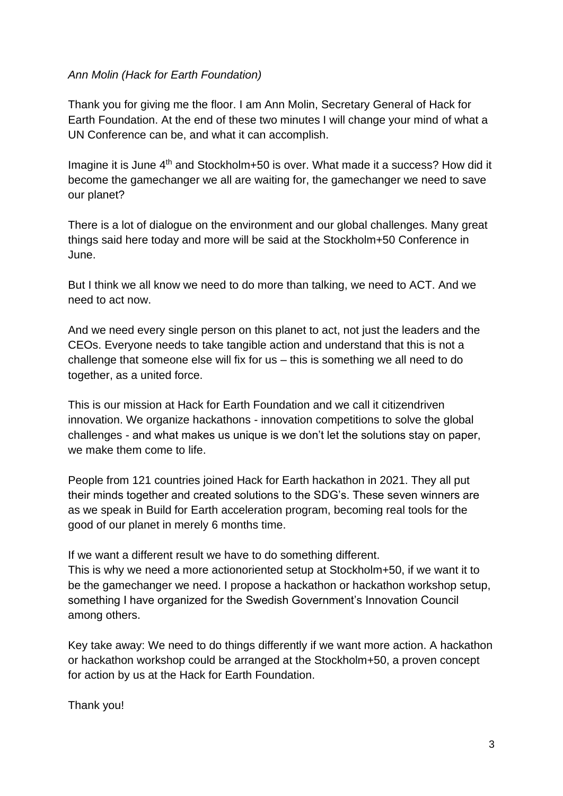#### *Ann Molin (Hack for Earth Foundation)*

Thank you for giving me the floor. I am Ann Molin, Secretary General of Hack for Earth Foundation. At the end of these two minutes I will change your mind of what a UN Conference can be, and what it can accomplish.

Imagine it is June 4<sup>th</sup> and Stockholm+50 is over. What made it a success? How did it become the gamechanger we all are waiting for, the gamechanger we need to save our planet?

There is a lot of dialogue on the environment and our global challenges. Many great things said here today and more will be said at the Stockholm+50 Conference in June.

But I think we all know we need to do more than talking, we need to ACT. And we need to act now.

And we need every single person on this planet to act, not just the leaders and the CEOs. Everyone needs to take tangible action and understand that this is not a challenge that someone else will fix for us – this is something we all need to do together, as a united force.

This is our mission at Hack for Earth Foundation and we call it citizendriven innovation. We organize hackathons - innovation competitions to solve the global challenges - and what makes us unique is we don't let the solutions stay on paper, we make them come to life.

People from 121 countries joined Hack for Earth hackathon in 2021. They all put their minds together and created solutions to the SDG's. These seven winners are as we speak in Build for Earth acceleration program, becoming real tools for the good of our planet in merely 6 months time.

If we want a different result we have to do something different.

This is why we need a more actionoriented setup at Stockholm+50, if we want it to be the gamechanger we need. I propose a hackathon or hackathon workshop setup, something I have organized for the Swedish Government's Innovation Council among others.

Key take away: We need to do things differently if we want more action. A hackathon or hackathon workshop could be arranged at the Stockholm+50, a proven concept for action by us at the Hack for Earth Foundation.

Thank you!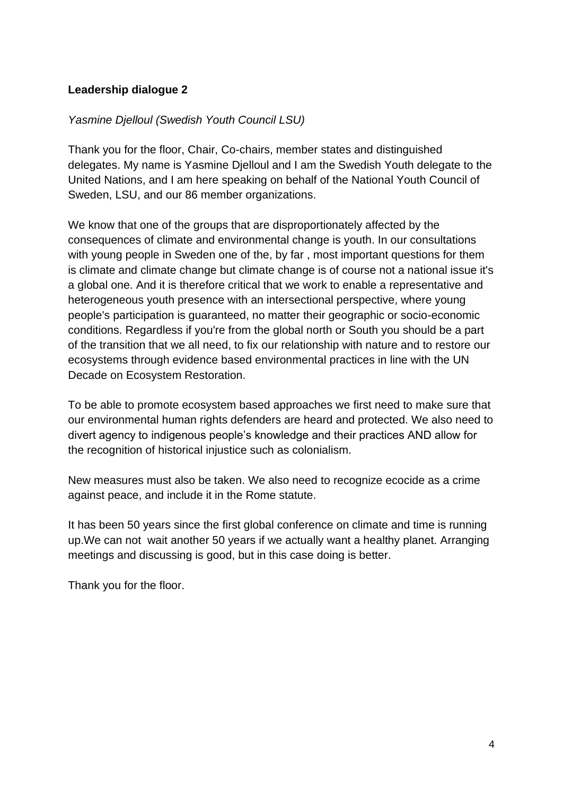## **Leadership dialogue 2**

## *Yasmine Djelloul (Swedish Youth Council LSU)*

Thank you for the floor, Chair, Co-chairs, member states and distinguished delegates. My name is Yasmine Djelloul and I am the Swedish Youth delegate to the United Nations, and I am here speaking on behalf of the National Youth Council of Sweden, LSU, and our 86 member organizations.

We know that one of the groups that are disproportionately affected by the consequences of climate and environmental change is youth. In our consultations with young people in Sweden one of the, by far , most important questions for them is climate and climate change but climate change is of course not a national issue it's a global one. And it is therefore critical that we work to enable a representative and heterogeneous youth presence with an intersectional perspective, where young people's participation is guaranteed, no matter their geographic or socio-economic conditions. Regardless if you're from the global north or South you should be a part of the transition that we all need, to fix our relationship with nature and to restore our ecosystems through evidence based environmental practices in line with the UN Decade on Ecosystem Restoration.

To be able to promote ecosystem based approaches we first need to make sure that our environmental human rights defenders are heard and protected. We also need to divert agency to indigenous people's knowledge and their practices AND allow for the recognition of historical injustice such as colonialism.

New measures must also be taken. We also need to recognize ecocide as a crime against peace, and include it in the Rome statute.

It has been 50 years since the first global conference on climate and time is running up.We can not wait another 50 years if we actually want a healthy planet. Arranging meetings and discussing is good, but in this case doing is better.

Thank you for the floor.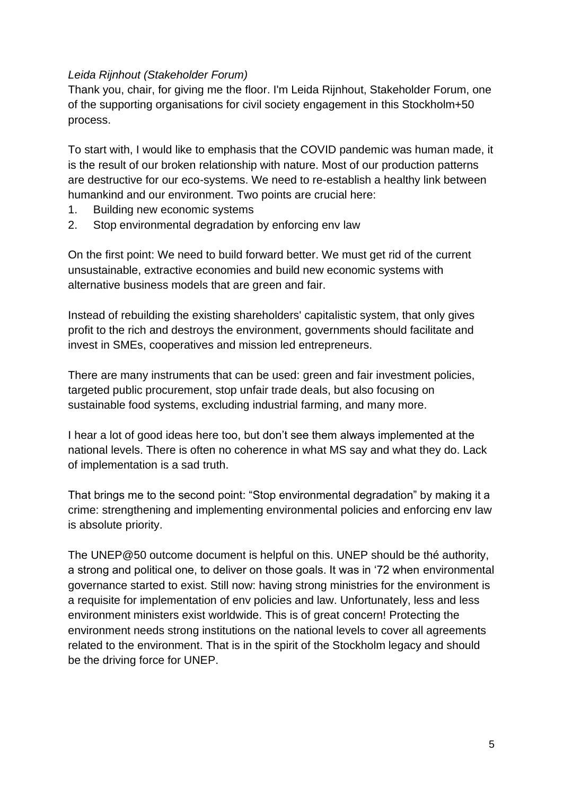## *Leida Rijnhout (Stakeholder Forum)*

Thank you, chair, for giving me the floor. I'm Leida Rijnhout, Stakeholder Forum, one of the supporting organisations for civil society engagement in this Stockholm+50 process.

To start with, I would like to emphasis that the COVID pandemic was human made, it is the result of our broken relationship with nature. Most of our production patterns are destructive for our eco-systems. We need to re-establish a healthy link between humankind and our environment. Two points are crucial here:

- 1. Building new economic systems
- 2. Stop environmental degradation by enforcing env law

On the first point: We need to build forward better. We must get rid of the current unsustainable, extractive economies and build new economic systems with alternative business models that are green and fair.

Instead of rebuilding the existing shareholders' capitalistic system, that only gives profit to the rich and destroys the environment, governments should facilitate and invest in SMEs, cooperatives and mission led entrepreneurs.

There are many instruments that can be used: green and fair investment policies, targeted public procurement, stop unfair trade deals, but also focusing on sustainable food systems, excluding industrial farming, and many more.

I hear a lot of good ideas here too, but don't see them always implemented at the national levels. There is often no coherence in what MS say and what they do. Lack of implementation is a sad truth.

That brings me to the second point: "Stop environmental degradation" by making it a crime: strengthening and implementing environmental policies and enforcing env law is absolute priority.

The UNEP@50 outcome document is helpful on this. UNEP should be thé authority, a strong and political one, to deliver on those goals. It was in '72 when environmental governance started to exist. Still now: having strong ministries for the environment is a requisite for implementation of env policies and law. Unfortunately, less and less environment ministers exist worldwide. This is of great concern! Protecting the environment needs strong institutions on the national levels to cover all agreements related to the environment. That is in the spirit of the Stockholm legacy and should be the driving force for UNEP.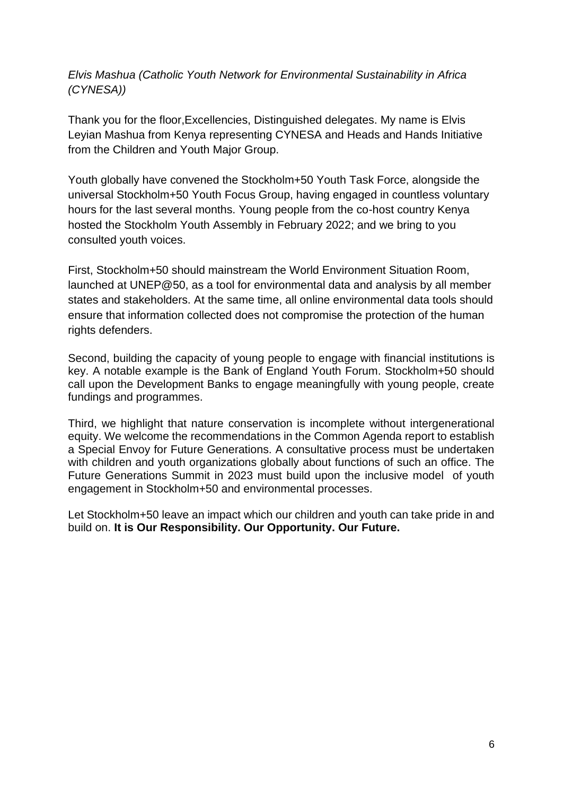*Elvis Mashua (Catholic Youth Network for Environmental Sustainability in Africa (CYNESA))* 

Thank you for the floor,Excellencies, Distinguished delegates. My name is Elvis Leyian Mashua from Kenya representing CYNESA and Heads and Hands Initiative from the Children and Youth Major Group.

Youth globally have convened the Stockholm+50 Youth Task Force, alongside the universal Stockholm+50 Youth Focus Group, having engaged in countless voluntary hours for the last several months. Young people from the co-host country Kenya hosted the Stockholm Youth Assembly in February 2022; and we bring to you consulted youth voices.

First, Stockholm+50 should mainstream the World Environment Situation Room, launched at UNEP@50, as a tool for environmental data and analysis by all member states and stakeholders. At the same time, all online environmental data tools should ensure that information collected does not compromise the protection of the human rights defenders.

Second, building the capacity of young people to engage with financial institutions is key. A notable example is the Bank of England Youth Forum. Stockholm+50 should call upon the Development Banks to engage meaningfully with young people, create fundings and programmes.

Third, we highlight that nature conservation is incomplete without intergenerational equity. We welcome the recommendations in the Common Agenda report to establish a Special Envoy for Future Generations. A consultative process must be undertaken with children and youth organizations globally about functions of such an office. The Future Generations Summit in 2023 must build upon the inclusive model of youth engagement in Stockholm+50 and environmental processes.

Let Stockholm+50 leave an impact which our children and youth can take pride in and build on. **It is Our Responsibility. Our Opportunity. Our Future.**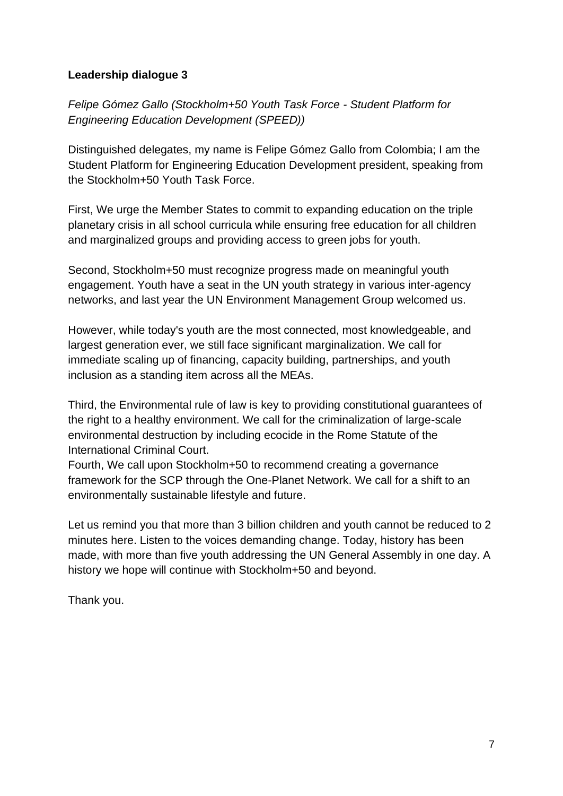# **Leadership dialogue 3**

*Felipe Gómez Gallo (Stockholm+50 Youth Task Force - Student Platform for Engineering Education Development (SPEED))*

Distinguished delegates, my name is Felipe Gómez Gallo from Colombia; I am the Student Platform for Engineering Education Development president, speaking from the Stockholm+50 Youth Task Force.

First, We urge the Member States to commit to expanding education on the triple planetary crisis in all school curricula while ensuring free education for all children and marginalized groups and providing access to green jobs for youth.

Second, Stockholm+50 must recognize progress made on meaningful youth engagement. Youth have a seat in the UN youth strategy in various inter-agency networks, and last year the UN Environment Management Group welcomed us.

However, while today's youth are the most connected, most knowledgeable, and largest generation ever, we still face significant marginalization. We call for immediate scaling up of financing, capacity building, partnerships, and youth inclusion as a standing item across all the MEAs.

Third, the Environmental rule of law is key to providing constitutional guarantees of the right to a healthy environment. We call for the criminalization of large-scale environmental destruction by including ecocide in the Rome Statute of the International Criminal Court.

Fourth, We call upon Stockholm+50 to recommend creating a governance framework for the SCP through the One-Planet Network. We call for a shift to an environmentally sustainable lifestyle and future.

Let us remind you that more than 3 billion children and youth cannot be reduced to 2 minutes here. Listen to the voices demanding change. Today, history has been made, with more than five youth addressing the UN General Assembly in one day. A history we hope will continue with Stockholm+50 and beyond.

Thank you.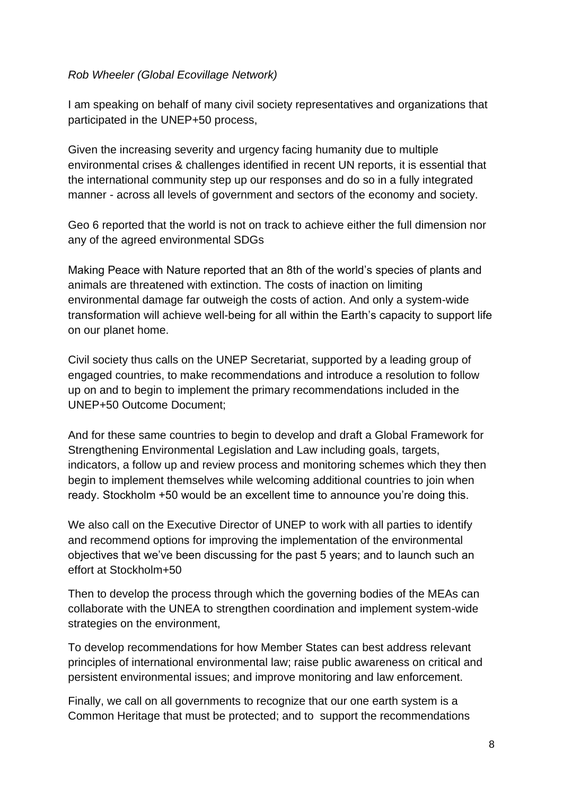## *Rob Wheeler (Global Ecovillage Network)*

I am speaking on behalf of many civil society representatives and organizations that participated in the UNEP+50 process,

Given the increasing severity and urgency facing humanity due to multiple environmental crises & challenges identified in recent UN reports, it is essential that the international community step up our responses and do so in a fully integrated manner - across all levels of government and sectors of the economy and society.

Geo 6 reported that the world is not on track to achieve either the full dimension nor any of the agreed environmental SDGs

Making Peace with Nature reported that an 8th of the world's species of plants and animals are threatened with extinction. The costs of inaction on limiting environmental damage far outweigh the costs of action. And only a system-wide transformation will achieve well-being for all within the Earth's capacity to support life on our planet home.

Civil society thus calls on the UNEP Secretariat, supported by a leading group of engaged countries, to make recommendations and introduce a resolution to follow up on and to begin to implement the primary recommendations included in the UNEP+50 Outcome Document;

And for these same countries to begin to develop and draft a Global Framework for Strengthening Environmental Legislation and Law including goals, targets, indicators, a follow up and review process and monitoring schemes which they then begin to implement themselves while welcoming additional countries to join when ready. Stockholm +50 would be an excellent time to announce you're doing this.

We also call on the Executive Director of UNEP to work with all parties to identify and recommend options for improving the implementation of the environmental objectives that we've been discussing for the past 5 years; and to launch such an effort at Stockholm+50

Then to develop the process through which the governing bodies of the MEAs can collaborate with the UNEA to strengthen coordination and implement system-wide strategies on the environment,

To develop recommendations for how Member States can best address relevant principles of international environmental law; raise public awareness on critical and persistent environmental issues; and improve monitoring and law enforcement.

Finally, we call on all governments to recognize that our one earth system is a Common Heritage that must be protected; and to support the recommendations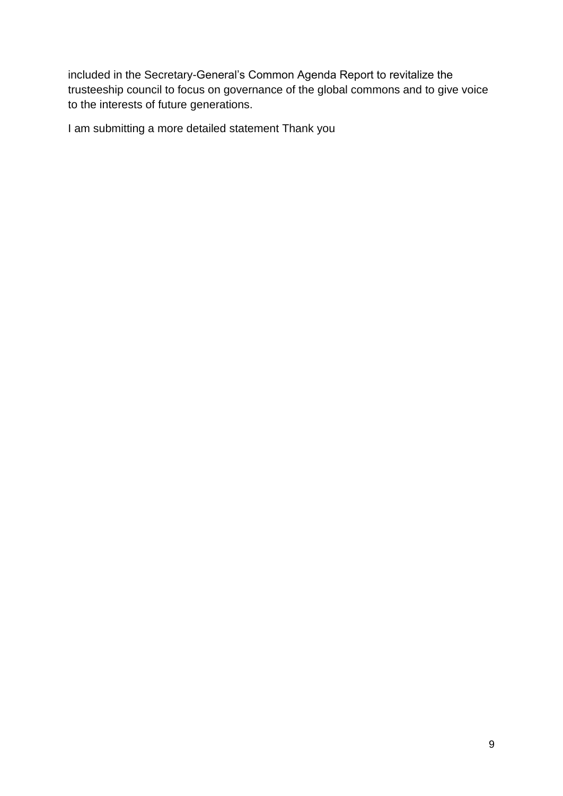included in the Secretary-General's Common Agenda Report to revitalize the trusteeship council to focus on governance of the global commons and to give voice to the interests of future generations.

I am submitting a more detailed statement Thank you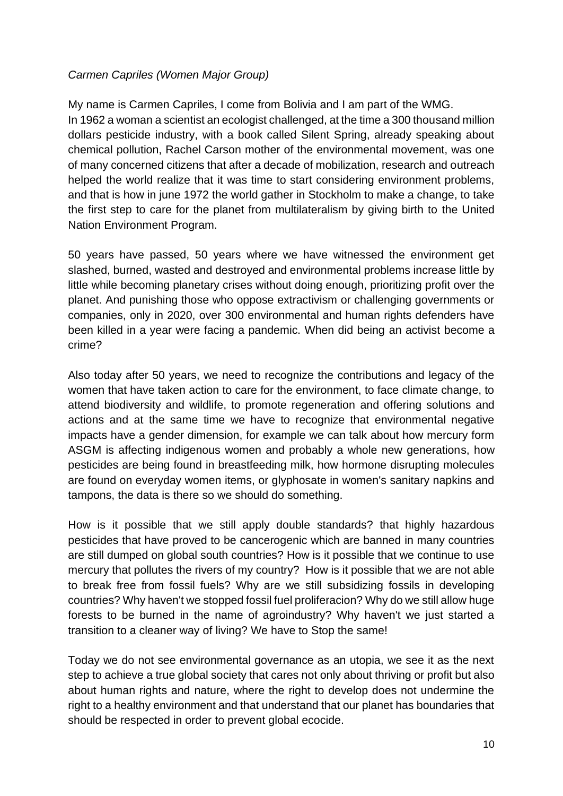### *Carmen Capriles (Women Major Group)*

My name is Carmen Capriles, I come from Bolivia and I am part of the WMG. In 1962 a woman a scientist an ecologist challenged, at the time a 300 thousand million dollars pesticide industry, with a book called Silent Spring, already speaking about chemical pollution, Rachel Carson mother of the environmental movement, was one of many concerned citizens that after a decade of mobilization, research and outreach helped the world realize that it was time to start considering environment problems, and that is how in june 1972 the world gather in Stockholm to make a change, to take the first step to care for the planet from multilateralism by giving birth to the United Nation Environment Program.

50 years have passed, 50 years where we have witnessed the environment get slashed, burned, wasted and destroyed and environmental problems increase little by little while becoming planetary crises without doing enough, prioritizing profit over the planet. And punishing those who oppose extractivism or challenging governments or companies, only in 2020, over 300 environmental and human rights defenders have been killed in a year were facing a pandemic. When did being an activist become a crime?

Also today after 50 years, we need to recognize the contributions and legacy of the women that have taken action to care for the environment, to face climate change, to attend biodiversity and wildlife, to promote regeneration and offering solutions and actions and at the same time we have to recognize that environmental negative impacts have a gender dimension, for example we can talk about how mercury form ASGM is affecting indigenous women and probably a whole new generations, how pesticides are being found in breastfeeding milk, how hormone disrupting molecules are found on everyday women items, or glyphosate in women's sanitary napkins and tampons, the data is there so we should do something.

How is it possible that we still apply double standards? that highly hazardous pesticides that have proved to be cancerogenic which are banned in many countries are still dumped on global south countries? How is it possible that we continue to use mercury that pollutes the rivers of my country? How is it possible that we are not able to break free from fossil fuels? Why are we still subsidizing fossils in developing countries? Why haven't we stopped fossil fuel proliferacion? Why do we still allow huge forests to be burned in the name of agroindustry? Why haven't we just started a transition to a cleaner way of living? We have to Stop the same!

Today we do not see environmental governance as an utopia, we see it as the next step to achieve a true global society that cares not only about thriving or profit but also about human rights and nature, where the right to develop does not undermine the right to a healthy environment and that understand that our planet has boundaries that should be respected in order to prevent global ecocide.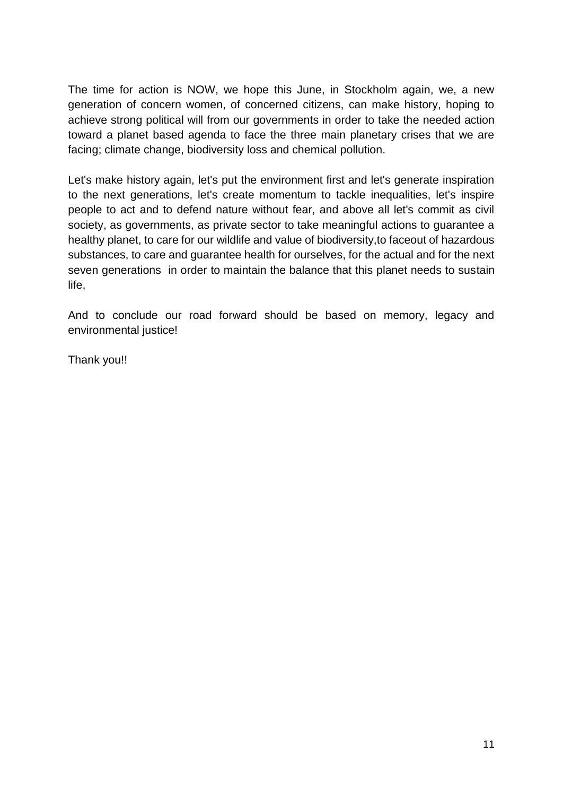The time for action is NOW, we hope this June, in Stockholm again, we, a new generation of concern women, of concerned citizens, can make history, hoping to achieve strong political will from our governments in order to take the needed action toward a planet based agenda to face the three main planetary crises that we are facing; climate change, biodiversity loss and chemical pollution.

Let's make history again, let's put the environment first and let's generate inspiration to the next generations, let's create momentum to tackle inequalities, let's inspire people to act and to defend nature without fear, and above all let's commit as civil society, as governments, as private sector to take meaningful actions to guarantee a healthy planet, to care for our wildlife and value of biodiversity,to faceout of hazardous substances, to care and guarantee health for ourselves, for the actual and for the next seven generations in order to maintain the balance that this planet needs to sustain life,

And to conclude our road forward should be based on memory, legacy and environmental justice!

Thank you!!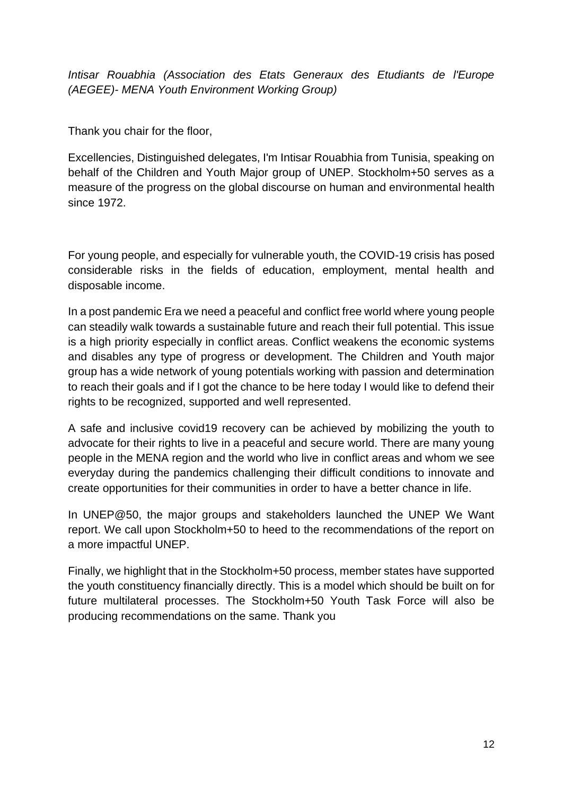*Intisar Rouabhia (Association des Etats Generaux des Etudiants de l'Europe (AEGEE)- MENA Youth Environment Working Group)* 

Thank you chair for the floor,

Excellencies, Distinguished delegates, I'm Intisar Rouabhia from Tunisia, speaking on behalf of the Children and Youth Major group of UNEP. Stockholm+50 serves as a measure of the progress on the global discourse on human and environmental health since 1972.

For young people, and especially for vulnerable youth, the COVID-19 crisis has posed considerable risks in the fields of education, employment, mental health and disposable income.

In a post pandemic Era we need a peaceful and conflict free world where young people can steadily walk towards a sustainable future and reach their full potential. This issue is a high priority especially in conflict areas. Conflict weakens the economic systems and disables any type of progress or development. The Children and Youth major group has a wide network of young potentials working with passion and determination to reach their goals and if I got the chance to be here today I would like to defend their rights to be recognized, supported and well represented.

A safe and inclusive covid19 recovery can be achieved by mobilizing the youth to advocate for their rights to live in a peaceful and secure world. There are many young people in the MENA region and the world who live in conflict areas and whom we see everyday during the pandemics challenging their difficult conditions to innovate and create opportunities for their communities in order to have a better chance in life.

In UNEP@50, the major groups and stakeholders launched the UNEP We Want report. We call upon Stockholm+50 to heed to the recommendations of the report on a more impactful UNEP.

Finally, we highlight that in the Stockholm+50 process, member states have supported the youth constituency financially directly. This is a model which should be built on for future multilateral processes. The Stockholm+50 Youth Task Force will also be producing recommendations on the same. Thank you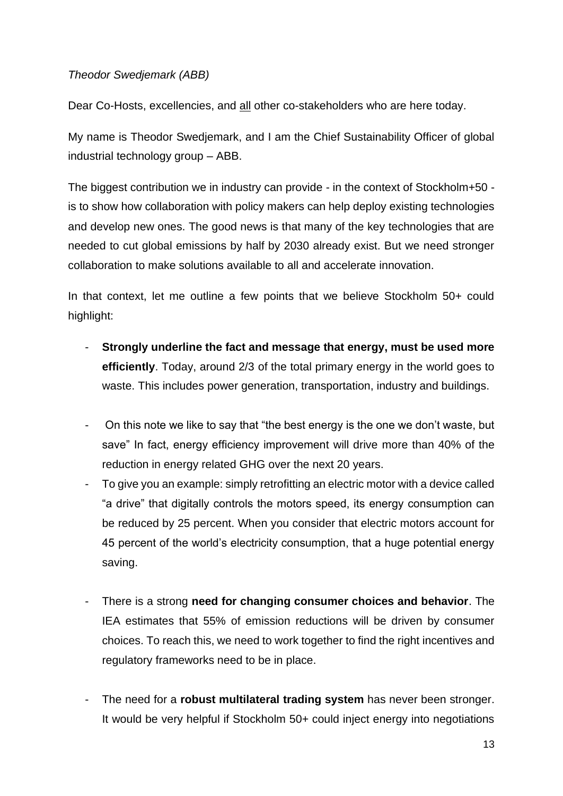## *Theodor Swedjemark (ABB)*

Dear Co-Hosts, excellencies, and all other co-stakeholders who are here today.

My name is Theodor Swedjemark, and I am the Chief Sustainability Officer of global industrial technology group – ABB.

The biggest contribution we in industry can provide - in the context of Stockholm+50 is to show how collaboration with policy makers can help deploy existing technologies and develop new ones. The good news is that many of the key technologies that are needed to cut global emissions by half by 2030 already exist. But we need stronger collaboration to make solutions available to all and accelerate innovation.

In that context, let me outline a few points that we believe Stockholm 50+ could highlight:

- **Strongly underline the fact and message that energy, must be used more efficiently**. Today, around 2/3 of the total primary energy in the world goes to waste. This includes power generation, transportation, industry and buildings.
- On this note we like to say that "the best energy is the one we don't waste, but save" In fact, energy efficiency improvement will drive more than 40% of the reduction in energy related GHG over the next 20 years.
- To give you an example: simply retrofitting an electric motor with a device called "a drive" that digitally controls the motors speed, its energy consumption can be reduced by 25 percent. When you consider that electric motors account for 45 percent of the world's electricity consumption, that a huge potential energy saving.
- There is a strong **need for changing consumer choices and behavior**. The IEA estimates that 55% of emission reductions will be driven by consumer choices. To reach this, we need to work together to find the right incentives and regulatory frameworks need to be in place.
- The need for a **robust multilateral trading system** has never been stronger. It would be very helpful if Stockholm 50+ could inject energy into negotiations